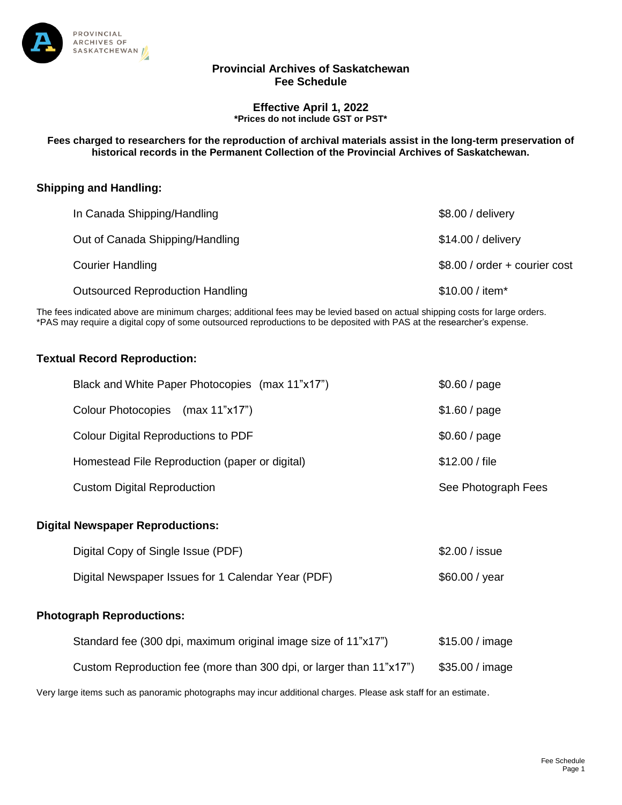

### **Provincial Archives of Saskatchewan Fee Schedule**

#### **Effective April 1, 2022 \*Prices do not include GST or PST\***

**Fees charged to researchers for the reproduction of archival materials assist in the long-term preservation of historical records in the Permanent Collection of the Provincial Archives of Saskatchewan.**

## **Shipping and Handling:**

| In Canada Shipping/Handling             | \$8.00 / delivery             |
|-----------------------------------------|-------------------------------|
| Out of Canada Shipping/Handling         | \$14.00 / delivery            |
| <b>Courier Handling</b>                 | \$8.00 / order + courier cost |
| <b>Outsourced Reproduction Handling</b> | \$10.00 / item*               |

The fees indicated above are minimum charges; additional fees may be levied based on actual shipping costs for large orders. \*PAS may require a digital copy of some outsourced reproductions to be deposited with PAS at the researcher's expense.

### **Textual Record Reproduction:**

| Black and White Paper Photocopies (max 11"x17") | \$0.60 / page       |
|-------------------------------------------------|---------------------|
| Colour Photocopies (max 11"x17")                | \$1.60 / page       |
| Colour Digital Reproductions to PDF             | \$0.60 / page       |
| Homestead File Reproduction (paper or digital)  | \$12.00 / file      |
| <b>Custom Digital Reproduction</b>              | See Photograph Fees |

### **Digital Newspaper Reproductions:**

| Digital Copy of Single Issue (PDF)                 | \$2.00 / issue |
|----------------------------------------------------|----------------|
| Digital Newspaper Issues for 1 Calendar Year (PDF) | \$60.00 / year |

#### **Photograph Reproductions:**

| Standard fee (300 dpi, maximum original image size of 11"x17")      | $$15.00/$ image |
|---------------------------------------------------------------------|-----------------|
| Custom Reproduction fee (more than 300 dpi, or larger than 11"x17") | \$35.00 / image |

Very large items such as panoramic photographs may incur additional charges. Please ask staff for an estimate.